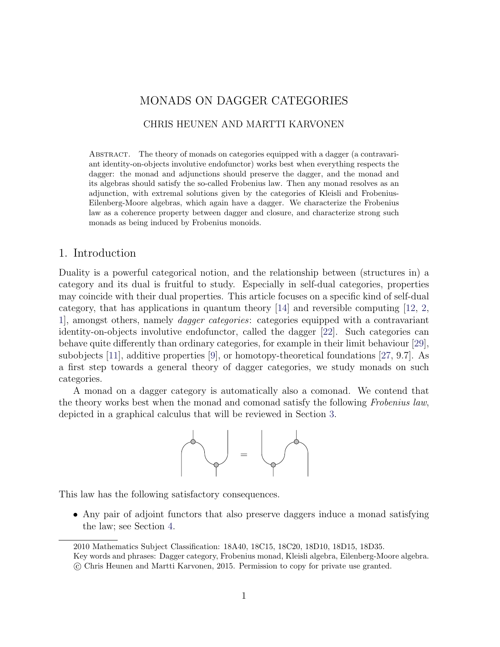# MONADS ON DAGGER CATEGORIES

# CHRIS HEUNEN AND MARTTI KARVONEN

Abstract. The theory of monads on categories equipped with a dagger (a contravariant identity-on-objects involutive endofunctor) works best when everything respects the dagger: the monad and adjunctions should preserve the dagger, and the monad and its algebras should satisfy the so-called Frobenius law. Then any monad resolves as an adjunction, with extremal solutions given by the categories of Kleisli and Frobenius-Eilenberg-Moore algebras, which again have a dagger. We characterize the Frobenius law as a coherence property between dagger and closure, and characterize strong such monads as being induced by Frobenius monoids.

# 1. Introduction

Duality is a powerful categorical notion, and the relationship between (structures in) a category and its dual is fruitful to study. Especially in self-dual categories, properties may coincide with their dual properties. This article focuses on a specific kind of self-dual category, that has applications in quantum theory  $|14|$  and reversible computing  $|12, 2, \dots \rangle$  $|12, 2, \dots \rangle$  $|12, 2, \dots \rangle$ [1\]](#page-24-3), amongst others, namely dagger categories: categories equipped with a contravariant identity-on-objects involutive endofunctor, called the dagger [\[22\]](#page-25-0). Such categories can behave quite differently than ordinary categories, for example in their limit behaviour [\[29\]](#page-25-1), subobjects [\[11\]](#page-24-4), additive properties [\[9\]](#page-24-5), or homotopy-theoretical foundations [\[27,](#page-25-2) 9.7]. As a first step towards a general theory of dagger categories, we study monads on such categories.

A monad on a dagger category is automatically also a comonad. We contend that the theory works best when the monad and comonad satisfy the following Frobenius law, depicted in a graphical calculus that will be reviewed in Section [3.](#page-3-0)



This law has the following satisfactory consequences.

• Any pair of adjoint functors that also preserve daggers induce a monad satisfying the law; see Section [4.](#page-5-0)

<sup>2010</sup> Mathematics Subject Classification: 18A40, 18C15, 18C20, 18D10, 18D15, 18D35.

Key words and phrases: Dagger category, Frobenius monad, Kleisli algebra, Eilenberg-Moore algebra.

c Chris Heunen and Martti Karvonen, 2015. Permission to copy for private use granted.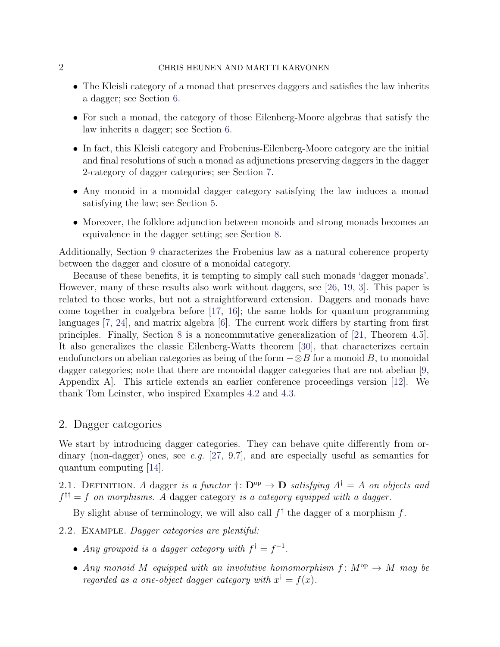### 2 CHRIS HEUNEN AND MARTTI KARVONEN

- The Kleisli category of a monad that preserves daggers and satisfies the law inherits a dagger; see Section [6.](#page-9-0)
- For such a monad, the category of those Eilenberg-Moore algebras that satisfy the law inherits a dagger; see Section [6.](#page-9-0)
- In fact, this Kleisli category and Frobenius-Eilenberg-Moore category are the initial and final resolutions of such a monad as adjunctions preserving daggers in the dagger 2-category of dagger categories; see Section [7.](#page-13-0)
- Any monoid in a monoidal dagger category satisfying the law induces a monad satisfying the law; see Section [5.](#page-8-0)
- Moreover, the folklore adjunction between monoids and strong monads becomes an equivalence in the dagger setting; see Section [8.](#page-16-0)

Additionally, Section [9](#page-20-0) characterizes the Frobenius law as a natural coherence property between the dagger and closure of a monoidal category.

Because of these benefits, it is tempting to simply call such monads 'dagger monads'. However, many of these results also work without daggers, see [\[26,](#page-25-3) [19,](#page-25-4) [3\]](#page-24-6). This paper is related to those works, but not a straightforward extension. Daggers and monads have come together in coalgebra before [\[17,](#page-25-5) [16\]](#page-25-6); the same holds for quantum programming languages [\[7,](#page-24-7) [24\]](#page-25-7), and matrix algebra [\[6\]](#page-24-8). The current work differs by starting from first principles. Finally, Section [8](#page-16-0) is a noncommutative generalization of [\[21,](#page-25-8) Theorem 4.5]. It also generalizes the classic Eilenberg-Watts theorem [\[30\]](#page-26-0), that characterizes certain endofunctors on abelian categories as being of the form  $-\otimes B$  for a monoid B, to monoidal dagger categories; note that there are monoidal dagger categories that are not abelian [\[9,](#page-24-5) Appendix A]. This article extends an earlier conference proceedings version [\[12\]](#page-24-1). We thank Tom Leinster, who inspired Examples [4.2](#page-6-0) and [4.3.](#page-6-1)

# 2. Dagger categories

We start by introducing dagger categories. They can behave quite differently from ordinary (non-dagger) ones, see e.g.  $[27, 9.7]$  $[27, 9.7]$ , and are especially useful as semantics for quantum computing [\[14\]](#page-24-0).

2.1. DEFINITION. A dagger is a functor  $\dagger: \mathbf{D}^{\text{op}} \to \mathbf{D}$  satisfying  $A^{\dagger} = A$  on objects and  $f^{\dagger \dagger} = f$  on morphisms. A dagger category is a category equipped with a dagger.

By slight abuse of terminology, we will also call  $f^{\dagger}$  the dagger of a morphism f.

- 2.2. Example. Dagger categories are plentiful:
	- Any groupoid is a dagger category with  $f^{\dagger} = f^{-1}$ .
	- Any monoid M equipped with an involutive homomorphism  $f: M^{op} \to M$  may be regarded as a one-object dagger category with  $x^{\dagger} = f(x)$ .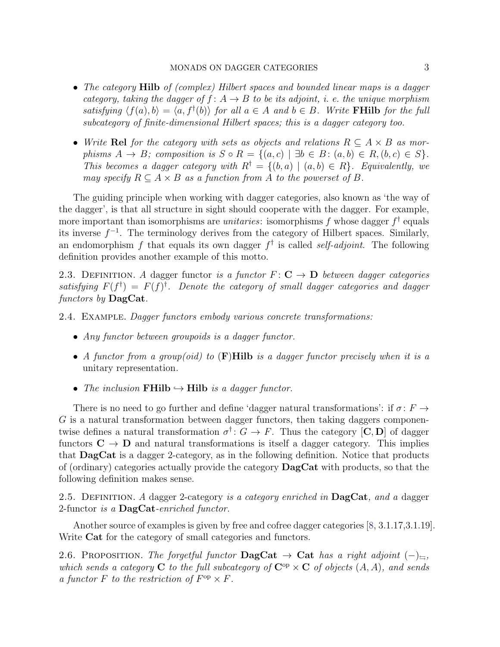- The category **Hilb** of (complex) Hilbert spaces and bounded linear maps is a dagger category, taking the dagger of  $f: A \rightarrow B$  to be its adjoint, i. e. the unique morphism satisfying  $\langle f(a), b \rangle = \langle a, f^{\dagger}(b) \rangle$  for all  $a \in A$  and  $b \in B$ . Write **FHilb** for the full subcategory of finite-dimensional Hilbert spaces; this is a dagger category too.
- Write Rel for the category with sets as objects and relations  $R \subseteq A \times B$  as morphisms  $A \to B$ ; composition is  $S \circ R = \{(a, c) \mid \exists b \in B : (a, b) \in R, (b, c) \in S\}.$ This becomes a dagger category with  $R^{\dagger} = \{(b, a) \mid (a, b) \in R\}$ . Equivalently, we may specify  $R \subseteq A \times B$  as a function from A to the powerset of B.

The guiding principle when working with dagger categories, also known as 'the way of the dagger', is that all structure in sight should cooperate with the dagger. For example, more important than isomorphisms are *unitaries*: isomorphisms f whose dagger  $f^{\dagger}$  equals its inverse  $f^{-1}$ . The terminology derives from the category of Hilbert spaces. Similarly, an endomorphism f that equals its own dagger  $f^{\dagger}$  is called *self-adjoint*. The following definition provides another example of this motto.

2.3. DEFINITION. A dagger functor is a functor  $F: \mathbf{C} \to \mathbf{D}$  between dagger categories satisfying  $F(f^{\dagger}) = F(f)^{\dagger}$ . Denote the category of small dagger categories and dagger functors by **DagCat**.

2.4. Example. Dagger functors embody various concrete transformations:

- Any functor between groupoids is a dagger functor.
- A functor from a group(oid) to  $(F)$ Hilb is a dagger functor precisely when it is a unitary representation.
- The inclusion FHilb  $\hookrightarrow$  Hilb is a dagger functor.

There is no need to go further and define 'dagger natural transformations': if  $\sigma: F \to$ G is a natural transformation between dagger functors, then taking daggers componentwise defines a natural transformation  $\sigma^{\dagger}$ :  $G \to F$ . Thus the category [C, D] of dagger functors  $C \to D$  and natural transformations is itself a dagger category. This implies that DagCat is a dagger 2-category, as in the following definition. Notice that products of (ordinary) categories actually provide the category DagCat with products, so that the following definition makes sense.

<span id="page-2-1"></span>2.5. DEFINITION. A dagger 2-category is a category enriched in  $\text{DagCat}$ , and a dagger 2-functor is a  $\text{DagCat}$ -enriched functor.

Another source of examples is given by free and cofree dagger categories [\[8,](#page-24-9) 3.1.17,3.1.19]. Write Cat for the category of small categories and functors.

<span id="page-2-0"></span>2.6. PROPOSITION. The forgetful functor  $\textbf{DagCat} \rightarrow \textbf{Cat}$  has a right adjoint  $(-)_{\equiv}$ , which sends a category C to the full subcategory of  $\mathbb{C}^{op} \times \mathbb{C}$  of objects  $(A, A)$ , and sends a functor F to the restriction of  $F^{\rm op} \times F$ .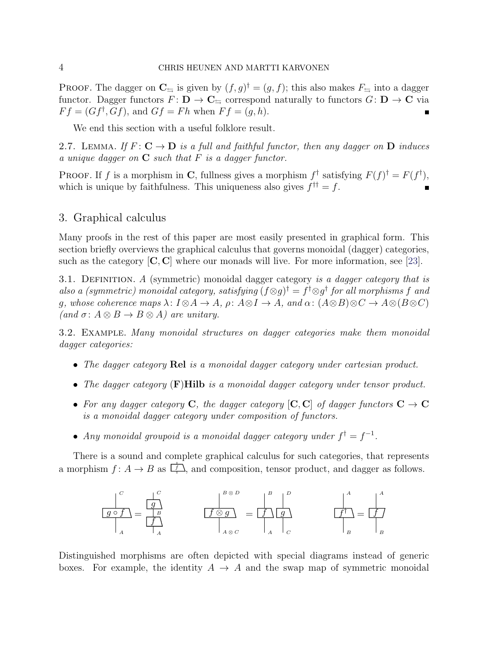**PROOF.** The dagger on  $\mathbb{C}_{\rightrightarrows}$  is given by  $(f, g)^{\dagger} = (g, f)$ ; this also makes  $F_{\rightrightarrows}$  into a dagger functor. Dagger functors  $F: D \to \mathbf{C}_{\simeq}$  correspond naturally to functors  $G: D \to \mathbf{C}$  via  $F f = (G f^{\dagger}, G f)$ , and  $G f = F h$  when  $F f = (g, h)$ .

We end this section with a useful folklore result.

<span id="page-3-1"></span>2.7. LEMMA. If  $F: \mathbf{C} \to \mathbf{D}$  is a full and faithful functor, then any dagger on  $\mathbf{D}$  induces a unique dagger on  $C$  such that  $F$  is a dagger functor.

**PROOF.** If f is a morphism in C, fullness gives a morphism  $f^{\dagger}$  satisfying  $F(f)^{\dagger} = F(f^{\dagger})$ , which is unique by faithfulness. This uniqueness also gives  $f^{\dagger \dagger} = f$ .

# <span id="page-3-0"></span>3. Graphical calculus

Many proofs in the rest of this paper are most easily presented in graphical form. This section briefly overviews the graphical calculus that governs monoidal (dagger) categories, such as the category  $[C, C]$  where our monads will live. For more information, see [\[23\]](#page-25-9).

3.1. DEFINITION. A (symmetric) monoidal dagger category is a dagger category that is also a (symmetric) monoidal category, satisfying  $(f \otimes g)^\dagger = f^\dagger \otimes g^\dagger$  for all morphisms f and q, whose coherence maps  $\lambda: I \otimes A \to A$ ,  $\rho: A \otimes I \to A$ , and  $\alpha: (A \otimes B) \otimes C \to A \otimes (B \otimes C)$ (and  $\sigma: A \otimes B \to B \otimes A$ ) are unitary.

3.2. Example. Many monoidal structures on dagger categories make them monoidal dagger categories:

- The dagger category **Rel** is a monoidal dagger category under cartesian product.
- The dagger category (F)Hilb is a monoidal dagger category under tensor product.
- For any dagger category C, the dagger category  $[C, C]$  of dagger functors  $C \rightarrow C$ is a monoidal dagger category under composition of functors.
- Any monoidal groupoid is a monoidal dagger category under  $f^{\dagger} = f^{-1}$ .

There is a sound and complete graphical calculus for such categories, that represents a morphism  $f: A \to B$  as  $\boxed{f}$ , and composition, tensor product, and dagger as follows.

$$
\frac{1}{g \circ f} = \frac{g}{f}
$$
\n
$$
\frac{f \otimes g}{f}
$$
\n
$$
A \otimes c
$$
\n
$$
\frac{f}{f} \otimes g
$$
\n
$$
A \otimes c
$$
\n
$$
A \otimes c
$$
\n
$$
A \otimes c
$$
\n
$$
B \otimes D
$$
\n
$$
B \otimes D
$$
\n
$$
B \otimes D
$$
\n
$$
B \otimes D
$$
\n
$$
B \otimes D
$$
\n
$$
B \otimes D
$$
\n
$$
B \otimes D
$$
\n
$$
B \otimes D
$$
\n
$$
B \otimes D
$$
\n
$$
B \otimes D
$$
\n
$$
B \otimes D
$$
\n
$$
B \otimes D
$$
\n
$$
B \otimes D
$$
\n
$$
B \otimes D
$$
\n
$$
B \otimes D
$$
\n
$$
B \otimes D
$$
\n
$$
B \otimes D
$$
\n
$$
B \otimes D
$$
\n
$$
B \otimes D
$$
\n
$$
B \otimes D
$$
\n
$$
B \otimes D
$$
\n
$$
B \otimes D
$$
\n
$$
B \otimes D
$$
\n
$$
B \otimes D
$$
\n
$$
B \otimes D
$$
\n
$$
B \otimes D
$$
\n
$$
B \otimes D
$$
\n
$$
B \otimes D
$$
\n
$$
B \otimes D
$$
\n
$$
B \otimes D
$$
\n
$$
B \otimes D
$$
\n
$$
B \otimes D
$$
\n
$$
B \otimes D
$$
\n
$$
B \otimes D
$$
\n
$$
B \otimes D
$$
\n
$$
B \otimes D
$$
\n
$$
B \otimes D
$$
\n
$$
B \otimes D
$$
\n
$$
B \otimes D
$$
\n
$$
B \otimes D
$$
\n
$$
B \otimes D
$$
\n
$$
B \otimes D
$$
\n
$$
B \otimes
$$

Distinguished morphisms are often depicted with special diagrams instead of generic boxes. For example, the identity  $A \rightarrow A$  and the swap map of symmetric monoidal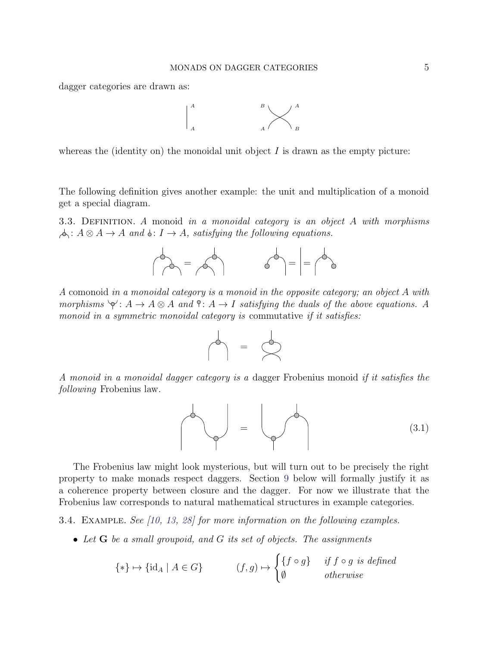dagger categories are drawn as:



whereas the (identity on) the monoidal unit object  $I$  is drawn as the empty picture:

The following definition gives another example: the unit and multiplication of a monoid get a special diagram.

3.3. DEFINITION. A monoid in a monoidal category is an object A with morphisms  $\phi: A \otimes A \rightarrow A$  and  $\phi: I \rightarrow A$ , satisfying the following equations.



A comonoid in a monoidal category is a monoid in the opposite category; an object A with morphisms  $\forall : A \rightarrow A \otimes A$  and  $\cap : A \rightarrow I$  satisfying the duals of the above equations. A monoid in a symmetric monoidal category is commutative if it satisfies:



A monoid in a monoidal dagger category is a dagger Frobenius monoid if it satisfies the following Frobenius law.

<span id="page-4-0"></span>
$$
\left(\begin{array}{c}\n\searrow \\
\searrow\n\end{array}\right) = \left(\begin{array}{c}\n\searrow \\
\searrow\n\end{array}\right) \tag{3.1}
$$

The Frobenius law might look mysterious, but will turn out to be precisely the right property to make monads respect daggers. Section [9](#page-20-0) below will formally justify it as a coherence property between closure and the dagger. For now we illustrate that the Frobenius law corresponds to natural mathematical structures in example categories.

<span id="page-4-1"></span>3.4. Example. See [\[10,](#page-24-10) [13,](#page-24-11) [28\]](#page-25-10) for more information on the following examples.

• Let G be a small groupoid, and G its set of objects. The assignments

$$
\{\ast\} \mapsto \{\text{id}_A \mid A \in G\} \qquad (f, g) \mapsto \begin{cases} \{f \circ g\} & \text{if } f \circ g \text{ is defined} \\ \emptyset & \text{otherwise} \end{cases}
$$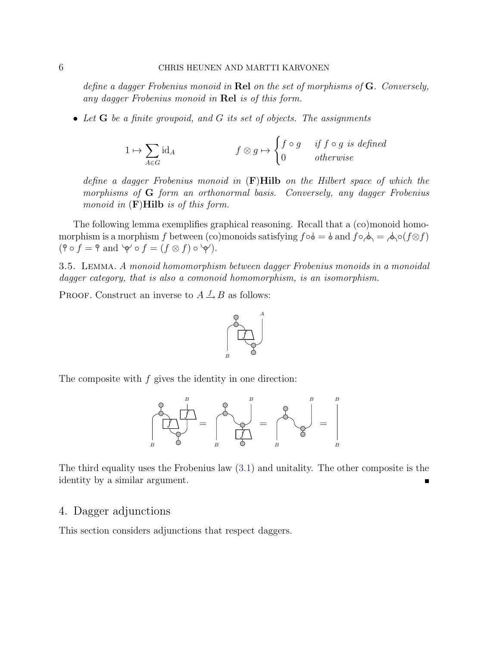define a dagger Frobenius monoid in Rel on the set of morphisms of  $G$ . Conversely, any dagger Frobenius monoid in Rel is of this form.

• Let  $G$  be a finite groupoid, and  $G$  its set of objects. The assignments

$$
1 \mapsto \sum_{A \in G} \text{id}_A \qquad \qquad f \otimes g \mapsto \begin{cases} f \circ g & \text{if } f \circ g \text{ is defined} \\ 0 & \text{otherwise} \end{cases}
$$

define a dagger Frobenius monoid in  $(F)$ Hilb on the Hilbert space of which the morphisms of G form an orthonormal basis. Conversely, any dagger Frobenius monoid in  $(F)$ Hilb is of this form.

The following lemma exemplifies graphical reasoning. Recall that a (co)monoid homomorphism is a morphism f between (co)monoids satisfying  $f \circ \phi = \phi$  and  $f \circ \phi = \phi(\phi) = \phi(f \otimes f)$  $( \hat{\mathsf{P}} \circ f = \hat{\mathsf{P}} \text{ and } \hat{\mathsf{P}} \circ f = (f \otimes f) \circ \hat{\mathsf{P}}).$ 

<span id="page-5-1"></span>3.5. Lemma. A monoid homomorphism between dagger Frobenius monoids in a monoidal dagger category, that is also a comonoid homomorphism, is an isomorphism.

PROOF. Construct an inverse to  $A \xrightarrow{f} B$  as follows:



The composite with  $f$  gives the identity in one direction:



The third equality uses the Frobenius law [\(3.1\)](#page-4-0) and unitality. The other composite is the identity by a similar argument.

#### <span id="page-5-0"></span>4. Dagger adjunctions

This section considers adjunctions that respect daggers.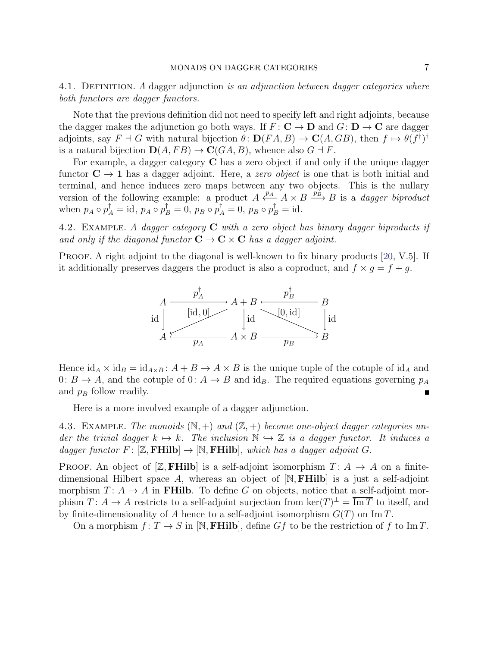4.1. DEFINITION. A dagger adjunction is an adjunction between dagger categories where both functors are dagger functors.

Note that the previous definition did not need to specify left and right adjoints, because the dagger makes the adjunction go both ways. If  $F: \mathbf{C} \to \mathbf{D}$  and  $G: \mathbf{D} \to \mathbf{C}$  are dagger adjoints, say  $F \dashv G$  with natural bijection  $\theta \colon \mathbf{D}(FA, B) \to \mathbf{C}(A, GB)$ , then  $f \mapsto \theta(f^{\dagger})^{\dagger}$ is a natural bijection  $\mathbf{D}(A, FB) \to \mathbf{C}(GA, B)$ , whence also  $G \dashv F$ .

For example, a dagger category  $C$  has a zero object if and only if the unique dagger functor  $C \rightarrow 1$  has a dagger adjoint. Here, a *zero object* is one that is both initial and terminal, and hence induces zero maps between any two objects. This is the nullary version of the following example: a product  $A \xleftrightarrow{p_A} A \times B \xrightarrow{p_B} B$  is a *dagger biproduct* when  $p_A \circ p_A^{\dagger} = id$ ,  $p_A \circ p_B^{\dagger} = 0$ ,  $p_B \circ p_A^{\dagger} = 0$ ,  $p_B \circ p_B^{\dagger} = id$ .

<span id="page-6-0"></span>4.2. EXAMPLE. A dagger category  $C$  with a zero object has binary dagger biproducts if and only if the diagonal functor  $C \to C \times C$  has a dagger adjoint.

PROOF. A right adjoint to the diagonal is well-known to fix binary products [\[20,](#page-25-11) V.5]. If it additionally preserves daggers the product is also a coproduct, and  $f \times g = f + g$ .



Hence  $\mathrm{id}_A \times \mathrm{id}_B = \mathrm{id}_{A \times B} : A + B \to A \times B$  is the unique tuple of the cotuple of  $\mathrm{id}_A$  and 0:  $B \to A$ , and the cotuple of 0:  $A \to B$  and id<sub>B</sub>. The required equations governing  $p_A$ and  $p_B$  follow readily. Ē

Here is a more involved example of a dagger adjunction.

<span id="page-6-1"></span>4.3. EXAMPLE. The monoids  $(N,+)$  and  $(Z,+)$  become one-object dagger categories under the trivial dagger  $k \mapsto k$ . The inclusion  $\mathbb{N} \hookrightarrow \mathbb{Z}$  is a dagger functor. It induces a dagger functor  $F: [\mathbb{Z}, \mathbf{FHilb}] \to [\mathbb{N}, \mathbf{FHilb}],$  which has a dagger adjoint G.

**PROOF.** An object of [Z, FHilb] is a self-adjoint isomorphism  $T: A \rightarrow A$  on a finitedimensional Hilbert space A, whereas an object of  $[N, FHilb]$  is a just a self-adjoint morphism  $T: A \rightarrow A$  in **FHilb**. To define G on objects, notice that a self-adjoint morphism  $T: A \to A$  restricts to a self-adjoint surjection from  $\ker(T)^{\perp} = \overline{\text{Im }T}$  to itself, and by finite-dimensionality of A hence to a self-adjoint isomorphism  $G(T)$  on Im T.

On a morphism  $f: T \to S$  in [N, **FHilb**], define Gf to be the restriction of f to Im T.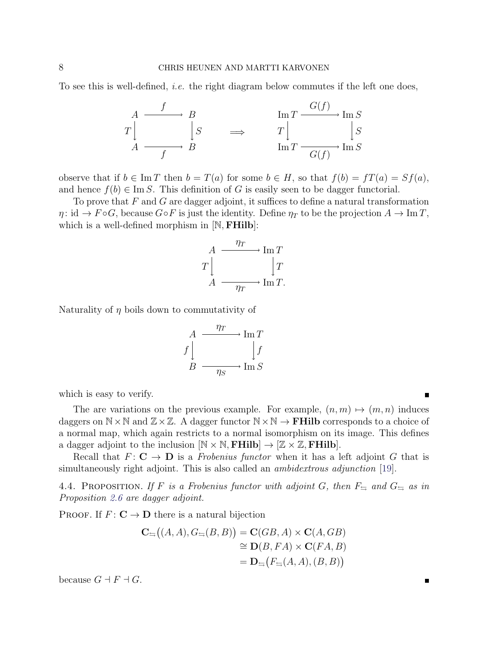To see this is well-defined, *i.e.* the right diagram below commutes if the left one does,



observe that if  $b \in \text{Im } T$  then  $b = T(a)$  for some  $b \in H$ , so that  $f(b) = fT(a) = Sf(a)$ , and hence  $f(b) \in \text{Im } S$ . This definition of G is easily seen to be dagger functorial.

To prove that  $F$  and  $G$  are dagger adjoint, it suffices to define a natural transformation  $\eta: \text{id} \to F \circ G$ , because  $G \circ F$  is just the identity. Define  $\eta_T$  to be the projection  $A \to \text{Im } T$ , which is a well-defined morphism in  $[N, FHilb]$ :

$$
A \xrightarrow{\eta_T} \operatorname{Im} T
$$

$$
T \downarrow \qquad \qquad \downarrow T
$$

$$
A \xrightarrow{\eta_T} \operatorname{Im} T.
$$

Naturality of  $\eta$  boils down to commutativity of

$$
A \xrightarrow{\eta_T} \operatorname{Im} T
$$
  

$$
f \downarrow \qquad \qquad \downarrow f
$$
  

$$
B \xrightarrow{\eta_S} \operatorname{Im} S
$$

which is easy to verify.

The are variations on the previous example. For example,  $(n, m) \mapsto (m, n)$  induces daggers on  $N \times N$  and  $\mathbb{Z} \times \mathbb{Z}$ . A dagger functor  $N \times N \rightarrow$  **FHilb** corresponds to a choice of a normal map, which again restricts to a normal isomorphism on its image. This defines a dagger adjoint to the inclusion  $[N \times N, FHilb] \rightarrow [\mathbb{Z} \times \mathbb{Z}, FHilb]$ .

Recall that  $F: \mathbf{C} \to \mathbf{D}$  is a *Frobenius functor* when it has a left adjoint G that is simultaneously right adjoint. This is also called an ambidextrous adjunction [\[19\]](#page-25-4).

4.4. PROPOSITION. If F is a Frobenius functor with adjoint G, then  $F_{\equiv}$  and  $G_{\equiv}$  as in Proposition [2.6](#page-2-0) are dagger adjoint.

PROOF. If  $F: \mathbf{C} \to \mathbf{D}$  there is a natural bijection

$$
\mathbf{C}_{\equiv}((A, A), G_{\equiv}(B, B)) = \mathbf{C}(GB, A) \times \mathbf{C}(A, GB)
$$
  
\n
$$
\cong \mathbf{D}(B, FA) \times \mathbf{C}(FA, B)
$$
  
\n
$$
= \mathbf{D}_{\equiv}(F_{\equiv}(A, A), (B, B))
$$

because  $G \dashv F \dashv G$ .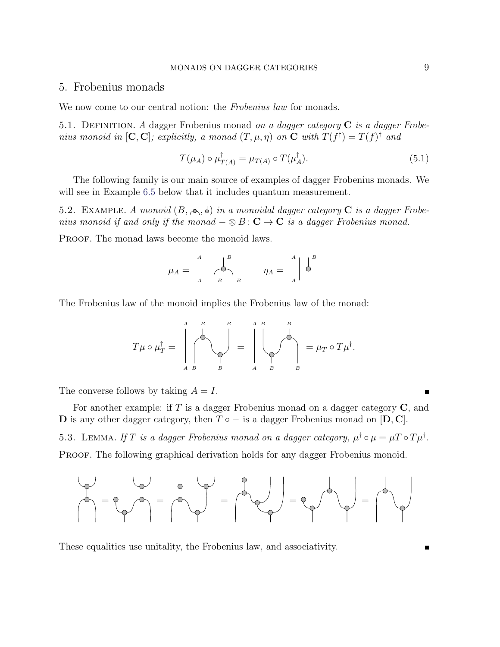## <span id="page-8-0"></span>5. Frobenius monads

We now come to our central notion: the Frobenius law for monads.

5.1. DEFINITION. A dagger Frobenius monad on a dagger category  $C$  is a dagger Frobenius monoid in  $[C, C]$ ; explicitly, a monad  $(T, \mu, \eta)$  on C with  $T(f^{\dagger}) = T(f)^{\dagger}$  and

<span id="page-8-2"></span>
$$
T(\mu_A) \circ \mu_{T(A)}^{\dagger} = \mu_{T(A)} \circ T(\mu_A^{\dagger}). \tag{5.1}
$$

The following family is our main source of examples of dagger Frobenius monads. We will see in Example [6.5](#page-10-0) below that it includes quantum measurement.

<span id="page-8-1"></span>5.2. EXAMPLE. A monoid  $(B, \phi, \phi)$  in a monoidal dagger category C is a dagger Frobenius monoid if and only if the monad  $-\otimes B: \mathbb{C} \to \mathbb{C}$  is a dagger Frobenius monad.

PROOF. The monad laws become the monoid laws.

$$
\mu_A = \begin{array}{c} A \\ A \end{array} \begin{array}{c} B \\ A \end{array} \begin{array}{c} B \\ B \end{array} \begin{array}{c} \eta_A = \begin{array}{c} A \\ A \end{array} \end{array} \begin{array}{c} B \\ \bullet \end{array}
$$

The Frobenius law of the monoid implies the Frobenius law of the monad:

$$
T\mu \circ \mu_T^{\dagger} = \left|\bigcirc_{A \ B}^{A \ B} \left(\bigvee_{B \ B}^{B} \left(\bigvee_{A \ B}^{A \ B} \left(\bigvee_{B}^{B} \left(\bigvee_{B}^{B} \left(\bigvee_{B}^{B} \left(\bigvee_{B}^{B} \left(\bigvee_{B}^{B} \left(\bigvee_{B}^{B} \left(\bigvee_{B}^{B} \left(\bigvee_{B}^{B} \left(\bigvee_{B}^{B} \left(\bigvee_{B}^{B} \left(\bigvee_{B}^{B} \left(\bigvee_{B}^{B} \left(\bigvee_{B}^{B} \left(\bigvee_{B}^{B} \left(\bigvee_{B}^{B} \left(\bigvee_{B}^{B} \left(\bigvee_{B}^{B} \left(\bigvee_{B}^{B} \left(\bigvee_{B}^{B} \left(\bigvee_{B}^{B} \left(\bigvee_{B}^{B} \left(\bigvee_{B}^{B} \left(\bigvee_{B}^{B} \left(\bigvee_{B}^{B} \left(\bigvee_{B}^{B} \left(\bigvee_{B}^{B} \left(\bigvee_{B}^{B} \left(\bigvee_{B}^{B} \left(\bigvee_{B}^{B} \left(\bigvee_{B}^{B} \left(\bigvee_{B}^{B} \left(\bigvee_{B}^{B} \left(\bigvee_{B}^{B} \left(\bigvee_{B}^{B} \left(\bigvee_{B}^{B} \left(\bigvee_{B}^{B} \left(\bigvee_{B}^{B} \left(\bigvee_{B}^{B} \left(\bigvee_{B}^{B} \left(\bigvee_{B}^{B} \left(\bigvee_{B}^{B} \left(\bigvee_{B}^{B} \left(\bigvee_{B}^{B} \left(\bigvee_{B}^{B} \left(\bigvee_{B}^{B} \left(\bigvee_{B}^{B} \left(\bigvee_{B}^{B} \left(\bigvee_{B}^{B} \left(\bigvee_{B}^{B} \left(\bigvee_{B}^{B} \left(\bigvee_{B}^{B} \left(\bigvee_{B}^{B} \left(\bigvee_{B}^{B} \left(\bigvee_{B}^{B} \left(\bigvee_{B}^{B} \left(\bigvee_{B}^{B} \left(\bigvee_{B}^{B} \left(\bigvee_{B}^{B} \left(\big
$$

The converse follows by taking  $A = I$ .

<span id="page-8-3"></span>For another example: if T is a dagger Frobenius monad on a dagger category  $C$ , and D is any other dagger category, then  $T \circ -$  is a dagger Frobenius monad on  $[D, C]$ . 5.3. LEMMA. If T is a dagger Frobenius monad on a dagger category,  $\mu^{\dagger} \circ \mu = \mu T \circ T \mu^{\dagger}$ . PROOF. The following graphical derivation holds for any dagger Frobenius monoid.



These equalities use unitality, the Frobenius law, and associativity.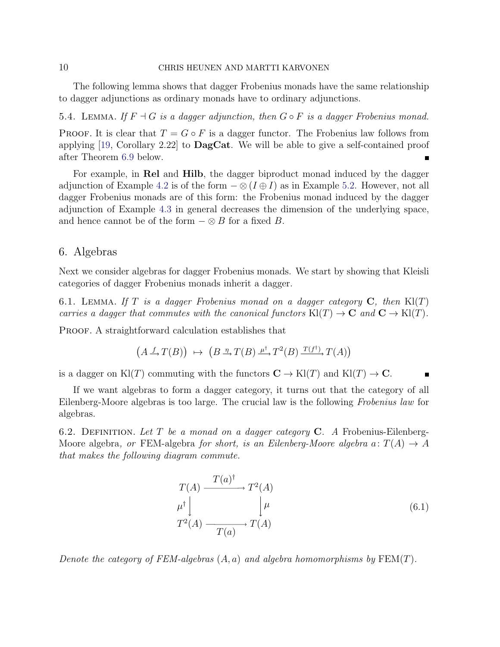### 10 CHRIS HEUNEN AND MARTTI KARVONEN

The following lemma shows that dagger Frobenius monads have the same relationship to dagger adjunctions as ordinary monads have to ordinary adjunctions.

<span id="page-9-3"></span>5.4. LEMMA. If  $F \dashv G$  is a dagger adjunction, then  $G \circ F$  is a dagger Frobenius monad.

PROOF. It is clear that  $T = G \circ F$  is a dagger functor. The Frobenius law follows from applying  $[19, Corollary 2.22]$  $[19, Corollary 2.22]$  to **DagCat**. We will be able to give a self-contained proof after Theorem [6.9](#page-13-1) below.  $\blacksquare$ 

For example, in Rel and Hilb, the dagger biproduct monad induced by the dagger adjunction of Example [4.2](#page-6-0) is of the form  $-\otimes (I \oplus I)$  as in Example [5.2.](#page-8-1) However, not all dagger Frobenius monads are of this form: the Frobenius monad induced by the dagger adjunction of Example [4.3](#page-6-1) in general decreases the dimension of the underlying space, and hence cannot be of the form  $-\otimes B$  for a fixed B.

# <span id="page-9-0"></span>6. Algebras

Next we consider algebras for dagger Frobenius monads. We start by showing that Kleisli categories of dagger Frobenius monads inherit a dagger.

<span id="page-9-2"></span>6.1. LEMMA. If T is a dagger Frobenius monad on a dagger category  $C$ , then  $Kl(T)$ carries a dagger that commutes with the canonical functors  $\text{Kl}(T) \to \mathbf{C}$  and  $\mathbf{C} \to \text{Kl}(T)$ .

PROOF. A straightforward calculation establishes that

$$
(A \xrightarrow{f} T(B)) \mapsto (B \xrightarrow{\eta} T(B) \xrightarrow{\mu^{\dagger}} T^{2}(B) \xrightarrow{T(f^{\dagger})} T(A))
$$

is a dagger on Kl(T) commuting with the functors  $C \to Kl(T)$  and  $Kl(T) \to C$ .

If we want algebras to form a dagger category, it turns out that the category of all Eilenberg-Moore algebras is too large. The crucial law is the following Frobenius law for algebras.

6.2. DEFINITION. Let T be a monad on a dagger category  $C$ . A Frobenius-Eilenberg-Moore algebra, or FEM-algebra for short, is an Eilenberg-Moore algebra  $a: T(A) \rightarrow A$ that makes the following diagram commute.

<span id="page-9-1"></span>
$$
T(A) \xrightarrow{T(a)^{\dagger}} T^{2}(A)
$$
  
\n
$$
\mu^{\dagger} \downarrow \qquad \qquad \downarrow \mu
$$
  
\n
$$
T^{2}(A) \xrightarrow{T(a)} T(A)
$$
\n(6.1)

Denote the category of FEM-algebras  $(A, a)$  and algebra homomorphisms by  $FEM(T)$ .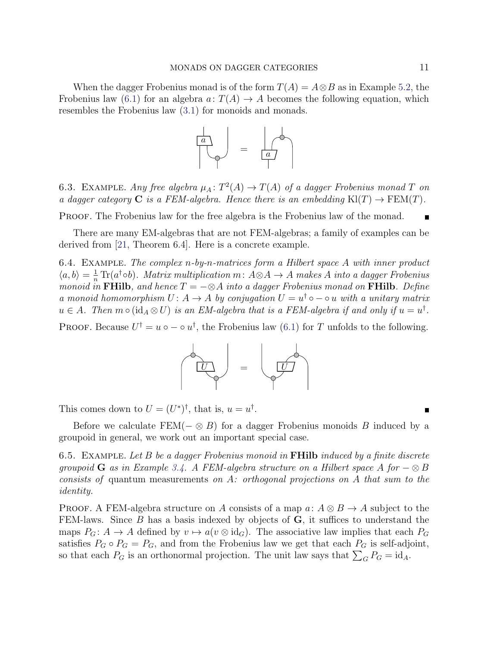When the dagger Frobenius monad is of the form  $T(A) = A \otimes B$  as in Example [5.2,](#page-8-1) the Frobenius law [\(6.1\)](#page-9-1) for an algebra  $a: T(A) \to A$  becomes the following equation, which resembles the Frobenius law [\(3.1\)](#page-4-0) for monoids and monads.



6.3. EXAMPLE. Any free algebra  $\mu_A \colon T^2(A) \to T(A)$  of a dagger Frobenius monad T on a dagger category **C** is a FEM-algebra. Hence there is an embedding  $\text{Kl}(T) \rightarrow \text{FEM}(T)$ .

PROOF. The Frobenius law for the free algebra is the Frobenius law of the monad.

There are many EM-algebras that are not FEM-algebras; a family of examples can be derived from [\[21,](#page-25-8) Theorem 6.4]. Here is a concrete example.

6.4. EXAMPLE. The complex  $n$ -by-n-matrices form a Hilbert space A with inner product  $\langle a,b\rangle = \frac{1}{n} \text{Tr}(a^{\dagger} \circ b)$ . Matrix multiplication m:  $A \otimes A \rightarrow A$  makes A into a dagger Frobenius monoid in FHilb, and hence  $T = -\otimes A$  into a dagger Frobenius monad on FHilb. Define a monoid homomorphism  $U: A \to A$  by conjugation  $U = u^{\dagger} \circ - \circ u$  with a unitary matrix  $u \in A$ . Then  $m \circ (\mathrm{id}_A \otimes U)$  is an EM-algebra that is a FEM-algebra if and only if  $u = u^{\dagger}$ .

PROOF. Because  $U^{\dagger} = u \circ - \circ u^{\dagger}$ , the Frobenius law [\(6.1\)](#page-9-1) for T unfolds to the following.



This comes down to  $U = (U^*)^{\dagger}$ , that is,  $u = u^{\dagger}$ .

Before we calculate  $FEM(- \otimes B)$  for a dagger Frobenius monoids B induced by a groupoid in general, we work out an important special case.

<span id="page-10-0"></span>6.5. EXAMPLE. Let B be a dagger Frobenius monoid in **FHilb** induced by a finite discrete groupoid G as in Example [3.4.](#page-4-1) A FEM-algebra structure on a Hilbert space A for  $-\otimes B$ consists of quantum measurements on A: orthogonal projections on A that sum to the identity.

PROOF. A FEM-algebra structure on A consists of a map  $a: A \otimes B \to A$  subject to the FEM-laws. Since  $B$  has a basis indexed by objects of  $G$ , it suffices to understand the maps  $P_G: A \to A$  defined by  $v \mapsto a(v \otimes id_G)$ . The associative law implies that each  $P_G$ satisfies  $P_G \circ P_G = P_G$ , and from the Frobenius law we get that each  $P_G$  is self-adjoint, so that each  $P_G$  is an orthonormal projection. The unit law says that  $\sum_G P_G = id_A$ .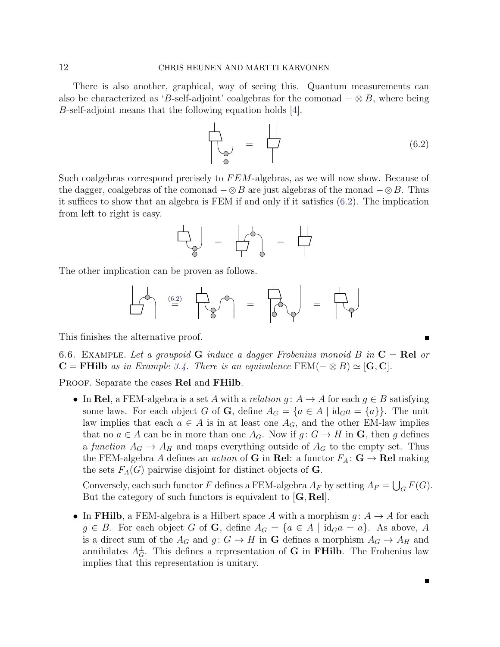There is also another, graphical, way of seeing this. Quantum measurements can also be characterized as 'B-self-adjoint' coalgebras for the comonad  $-\otimes B$ , where being B-self-adjoint means that the following equation holds [\[4\]](#page-24-12).

<span id="page-11-0"></span>
$$
\begin{array}{|c|c|c|}\n\hline\n\downarrow & \downarrow & \downarrow \\
\hline\n\downarrow & \downarrow & \downarrow \\
\hline\n\downarrow & \downarrow & \downarrow \\
\hline\n\downarrow & \downarrow & \downarrow \\
\hline\n\downarrow & \downarrow & \downarrow \\
\hline\n\downarrow & \downarrow & \downarrow \\
\hline\n\downarrow & \downarrow & \downarrow \\
\hline\n\downarrow & \downarrow & \downarrow \\
\hline\n\downarrow & \downarrow & \downarrow \\
\hline\n\downarrow & \downarrow & \downarrow \\
\hline\n\downarrow & \downarrow & \downarrow \\
\hline\n\downarrow & \downarrow & \downarrow \\
\hline\n\downarrow & \downarrow & \downarrow \\
\hline\n\downarrow & \downarrow & \downarrow \\
\hline\n\downarrow & \downarrow & \downarrow \\
\hline\n\downarrow & \downarrow & \downarrow \\
\hline\n\downarrow & \downarrow & \downarrow \\
\hline\n\downarrow & \downarrow & \downarrow \\
\hline\n\downarrow & \downarrow & \downarrow \\
\hline\n\downarrow & \downarrow & \downarrow \\
\hline\n\downarrow & \downarrow & \downarrow \\
\hline\n\downarrow & \downarrow & \downarrow \\
\hline\n\downarrow & \downarrow & \downarrow \\
\hline\n\downarrow & \downarrow & \downarrow \\
\hline\n\downarrow & \downarrow & \downarrow \\
\hline\n\downarrow & \downarrow & \downarrow \\
\hline\n\downarrow & \downarrow & \downarrow \\
\hline\n\downarrow & \downarrow & \downarrow \\
\hline\n\downarrow & \downarrow & \downarrow \\
\hline\n\downarrow & \downarrow & \downarrow \\
\hline\n\downarrow & \downarrow & \downarrow \\
\hline\n\downarrow & \downarrow & \downarrow \\
\hline\n\downarrow & \downarrow & \downarrow \\
\hline\n\downarrow & \downarrow & \downarrow \\
\hline\n\downarrow & \downarrow & \downarrow \\
\hline\n\downarrow & \downarrow & \downarrow \\
\hline\n\downarrow & \downarrow & \downarrow \\
\hline\n\downarrow & \downarrow & \downarrow \\
\hline\n\downarrow & \downarrow & \downarrow \\
\hline\n\downarrow & \downarrow & \downarrow \\
\hline\n\downarrow & \downarrow & \downarrow \\
\hline\n\downarrow & \downarrow & \downarrow \\
\hline\n\downarrow & \downarrow & \downarrow \\
\hline\n\downarrow & \downarrow & \downarrow \\
\hline\n\downarrow & \downarrow & \downarrow \\
\hline\n\downarrow & \downarrow & \downarrow \\
\hline\n\downarrow & \down
$$

Such coalgebras correspond precisely to  $FEM$ -algebras, as we will now show. Because of the dagger, coalgebras of the comonad  $-\otimes B$  are just algebras of the monad  $-\otimes B$ . Thus it suffices to show that an algebra is FEM if and only if it satisfies [\(6.2\)](#page-11-0). The implication from left to right is easy.

$$
\begin{array}{c}\n\begin{pmatrix} 1 & 0 & 0 \\
0 & 0 & 0 \\
0 & 0 & 0\n\end{pmatrix} & = & \begin{pmatrix} 1 & 0 & 0 & 0 \\
0 & 0 & 0 & 0 \\
0 & 0 & 0 & 0 \\
0 & 0 & 0 & 0\n\end{pmatrix} & = & \begin{pmatrix} 1 & 0 & 0 & 0 \\
0 & 0 & 0 & 0 \\
0 & 0 & 0 & 0 \\
0 & 0 & 0 & 0\n\end{pmatrix} & = & \begin{pmatrix} 1 & 0 & 0 & 0 \\
0 & 0 & 0 & 0 & 0 \\
0 & 0 & 0 & 0 & 0 \\
0 & 0 & 0 & 0 & 0 \\
0 & 0 & 0 & 0 & 0\n\end{pmatrix} & = & \begin{pmatrix} 1 & 0 & 0 & 0 & 0 \\
0 & 0 & 0 & 0 & 0 & 0 \\
0 & 0 & 0 & 0 & 0 & 0 \\
0 & 0 & 0 & 0 & 0 & 0 \\
0 & 0 & 0 & 0 & 0 & 0 \\
0 & 0 & 0 & 0 & 0 & 0\n\end{pmatrix} & = & \begin{pmatrix} 1 & 0 & 0 & 0 & 0 \\
0 & 0 & 0 & 0 & 0 & 0 \\
0 & 0 & 0 & 0 & 0 & 0 \\
0 & 0 & 0 & 0 & 0 & 0 \\
0 & 0 & 0 & 0 & 0 & 0 \\
0 & 0 & 0 & 0 & 0 & 0 \\
0 & 0 & 0 & 0 & 0 & 0 \\
0 & 0 & 0 & 0 & 0 & 0 \\
0 & 0 & 0 & 0 & 0 & 0 \\
0 & 0 & 0 & 0 & 0 & 0 \\
0 & 0 & 0 & 0 & 0 & 0 \\
0 & 0 & 0 & 0 & 0 & 0 \\
0 & 0 & 0 & 0 & 0 & 0 \\
0 & 0 & 0 & 0 & 0 & 0 \\
0 & 0 & 0 & 0 & 0 & 0 \\
0 & 0 & 0 & 0 & 0 & 0 \\
0 & 0 & 0 & 0 & 0 & 0 \\
0 & 0 & 0 & 0 & 0 & 0 \\
0 & 0 & 0 & 0 & 0 & 0 \\
0 & 0 & 0 & 0 & 0 & 0 \\
0 & 0 & 0 & 0 & 0 & 0 \\
0 & 0 & 0 & 0 & 0 & 0 \\
0 & 0 & 0 & 0 & 0 & 0
$$

The other implication can be proven as follows.

(6.[2\)](#page-11-0) = = =

This finishes the alternative proof.

<span id="page-11-1"></span>6.6. EXAMPLE. Let a groupoid G induce a dagger Frobenius monoid B in  $C = \text{Rel}$  or  $C = FHilb$  as in Example [3.4.](#page-4-1) There is an equivalence  $FEM(- \otimes B) \simeq [G, C].$ 

PROOF. Separate the cases Rel and FHilb.

• In Rel, a FEM-algebra is a set A with a relation  $g: A \to A$  for each  $g \in B$  satisfying some laws. For each object G of **G**, define  $A_G = \{a \in A \mid id_G a = \{a\}\}\.$  The unit law implies that each  $a \in A$  is in at least one  $A_G$ , and the other EM-law implies that no  $a \in A$  can be in more than one  $A_G$ . Now if  $g: G \to H$  in **G**, then g defines a function  $A_G \to A_H$  and maps everything outside of  $A_G$  to the empty set. Thus the FEM-algebra A defines an *action* of **G** in Rel: a functor  $F_A: \mathbf{G} \to \mathbf{Rel}$  making the sets  $F_A(G)$  pairwise disjoint for distinct objects of  $\mathbf G$ .

Conversely, each such functor F defines a FEM-algebra  $A_F$  by setting  $A_F = \bigcup_G F(G)$ . But the category of such functors is equivalent to  $[G, Rel]$ .

• In FHilb, a FEM-algebra is a Hilbert space A with a morphism  $g: A \to A$  for each  $g \in B$ . For each object G of G, define  $A_G = \{a \in A \mid \text{id}_G a = a\}$ . As above, A is a direct sum of the  $A_G$  and  $g: G \to H$  in **G** defines a morphism  $A_G \to A_H$  and annihilates  $A_G^{\perp}$ . This defines a representation of **G** in **FHilb**. The Frobenius law implies that this representation is unitary.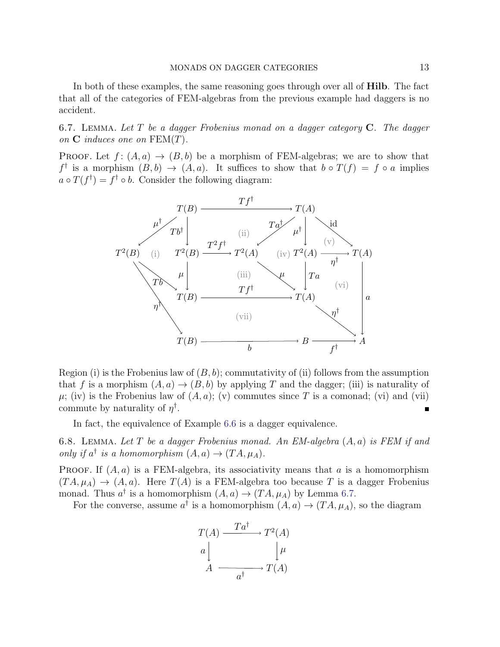In both of these examples, the same reasoning goes through over all of Hilb. The fact that all of the categories of FEM-algebras from the previous example had daggers is no accident.

<span id="page-12-0"></span>6.7. LEMMA. Let  $T$  be a dagger Frobenius monad on a dagger category  $C$ . The dagger on  $C$  induces one on  $FEM(T)$ .

PROOF. Let  $f: (A, a) \to (B, b)$  be a morphism of FEM-algebras; we are to show that  $f^{\dagger}$  is a morphism  $(B, b) \rightarrow (A, a)$ . It suffices to show that  $b \circ T(f) = f \circ a$  implies  $a \circ T(f^{\dagger}) = f^{\dagger} \circ b$ . Consider the following diagram:



Region (i) is the Frobenius law of  $(B, b)$ ; commutativity of (ii) follows from the assumption that f is a morphism  $(A, a) \rightarrow (B, b)$  by applying T and the dagger; (iii) is naturality of  $\mu$ ; (iv) is the Frobenius law of  $(A, a)$ ; (v) commutes since T is a comonad; (vi) and (vii) commute by naturality of  $\eta^{\dagger}$ .  $\blacksquare$ 

In fact, the equivalence of Example [6.6](#page-11-1) is a dagger equivalence.

<span id="page-12-1"></span>6.8. LEMMA. Let T be a dagger Frobenius monad. An EM-algebra  $(A, a)$  is FEM if and only if  $a^{\dagger}$  is a homomorphism  $(A, a) \rightarrow (TA, \mu_A)$ .

**PROOF.** If  $(A, a)$  is a FEM-algebra, its associativity means that a is a homomorphism  $(T A, \mu_A) \rightarrow (A, a)$ . Here  $T(A)$  is a FEM-algebra too because T is a dagger Frobenius monad. Thus  $a^{\dagger}$  is a homomorphism  $(A, a) \rightarrow (TA, \mu_A)$  by Lemma [6.7.](#page-12-0)

For the converse, assume  $a^{\dagger}$  is a homomorphism  $(A, a) \rightarrow (TA, \mu_A)$ , so the diagram

$$
T(A) \xrightarrow{T a^{\dagger}} T^{2}(A)
$$

$$
a \downarrow \qquad \qquad \downarrow \mu
$$

$$
A \xrightarrow{a^{\dagger}} T(A)
$$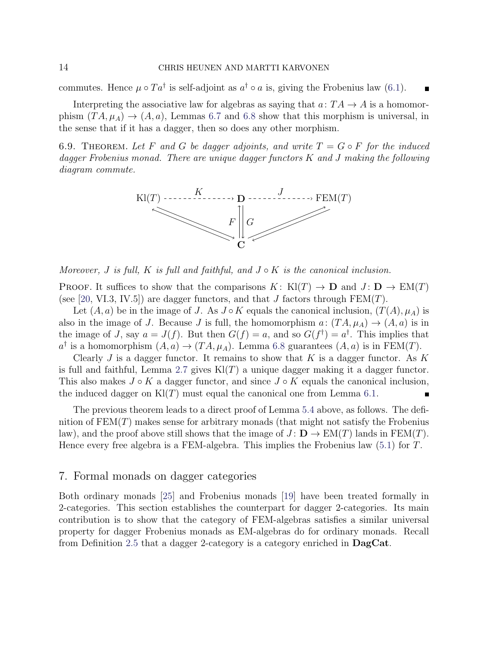commutes. Hence  $\mu \circ Ta^{\dagger}$  is self-adjoint as  $a^{\dagger} \circ a$  is, giving the Frobenius law [\(6.1\)](#page-9-1).

Interpreting the associative law for algebras as saying that  $a: TA \rightarrow A$  is a homomorphism  $(TA, \mu_A) \rightarrow (A, a)$ , Lemmas [6.7](#page-12-0) and [6.8](#page-12-1) show that this morphism is universal, in the sense that if it has a dagger, then so does any other morphism.

<span id="page-13-1"></span>6.9. THEOREM. Let F and G be dagger adjoints, and write  $T = G \circ F$  for the induced dagger Frobenius monad. There are unique dagger functors K and J making the following diagram commute.



Moreover, J is full, K is full and faithful, and  $J \circ K$  is the canonical inclusion.

PROOF. It suffices to show that the comparisons  $K: Kl(T) \to \mathbf{D}$  and  $J: \mathbf{D} \to EM(T)$ (see [\[20,](#page-25-11) VI.3, IV.5]) are dagger functors, and that J factors through  $FEM(T)$ .

Let  $(A, a)$  be in the image of J. As  $J \circ K$  equals the canonical inclusion,  $(T(A), \mu_A)$  is also in the image of J. Because J is full, the homomorphism  $a: (TA, \mu_A) \rightarrow (A, a)$  is in the image of J, say  $a = J(f)$ . But then  $G(f) = a$ , and so  $G(f^{\dagger}) = a^{\dagger}$ . This implies that  $a^{\dagger}$  is a homomorphism  $(A, a) \rightarrow (TA, \mu_A)$ . Lemma [6.8](#page-12-1) guarantees  $(A, a)$  is in FEM(T).

Clearly J is a dagger functor. It remains to show that K is a dagger functor. As K is full and faithful, Lemma [2.7](#page-3-1) gives  $Kl(T)$  a unique dagger making it a dagger functor. This also makes  $J \circ K$  a dagger functor, and since  $J \circ K$  equals the canonical inclusion, the induced dagger on  $Kl(T)$  must equal the canonical one from Lemma [6.1.](#page-9-2)

The previous theorem leads to a direct proof of Lemma [5.4](#page-9-3) above, as follows. The definition of  $FEM(T)$  makes sense for arbitrary monads (that might not satisfy the Frobenius law), and the proof above still shows that the image of  $J: \mathbf{D} \to \mathrm{EM}(T)$  lands in  $\mathrm{FEM}(T)$ . Hence every free algebra is a FEM-algebra. This implies the Frobenius law [\(5.1\)](#page-8-2) for T.

# <span id="page-13-0"></span>7. Formal monads on dagger categories

Both ordinary monads [\[25\]](#page-25-12) and Frobenius monads [\[19\]](#page-25-4) have been treated formally in 2-categories. This section establishes the counterpart for dagger 2-categories. Its main contribution is to show that the category of FEM-algebras satisfies a similar universal property for dagger Frobenius monads as EM-algebras do for ordinary monads. Recall from Definition [2.5](#page-2-1) that a dagger 2-category is a category enriched in DagCat.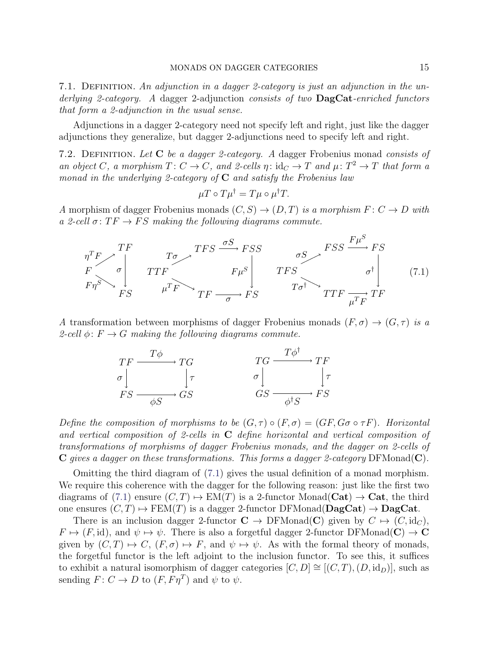7.1. DEFINITION. An adjunction in a dagger 2-category is just an adjunction in the underlying 2-category. A dagger 2-adjunction consists of two **DagCat**-enriched functors that form a 2-adjunction in the usual sense.

Adjunctions in a dagger 2-category need not specify left and right, just like the dagger adjunctions they generalize, but dagger 2-adjunctions need to specify left and right.

7.2. DEFINITION. Let  $C$  be a dagger 2-category. A dagger Frobenius monad consists of an object C, a morphism  $T: C \to C$ , and 2-cells  $\eta: id_C \to T$  and  $\mu: T^2 \to T$  that form a monad in the underlying 2-category of  $C$  and satisfy the Frobenius law

<span id="page-14-0"></span>
$$
\mu T \circ T\mu^{\dagger} = T\mu \circ \mu^{\dagger} T.
$$

A morphism of dagger Frobenius monads  $(C, S) \rightarrow (D, T)$  is a morphism  $F: C \rightarrow D$  with a 2-cell  $\sigma: TF \rightarrow FS$  making the following diagrams commute.



A transformation between morphisms of dagger Frobenius monads  $(F, \sigma) \rightarrow (G, \tau)$  is a 2-cell  $\phi: F \to G$  making the following diagrams commute.



Define the composition of morphisms to be  $(G, \tau) \circ (F, \sigma) = (GF, G\sigma \circ \tau F)$ . Horizontal and vertical composition of 2-cells in  $C$  define horizontal and vertical composition of transformations of morphisms of dagger Frobenius monads, and the dagger on 2-cells of  $C$  gives a dagger on these transformations. This forms a dagger 2-category DFMonad( $C$ ).

Omitting the third diagram of [\(7.1\)](#page-14-0) gives the usual definition of a monad morphism. We require this coherence with the dagger for the following reason: just like the first two diagrams of [\(7.1\)](#page-14-0) ensure  $(C, T) \mapsto EM(T)$  is a 2-functor Monad(Cat)  $\rightarrow$  Cat, the third one ensures  $(C, T) \mapsto \text{FEM}(T)$  is a dagger 2-functor DFMonad( $\text{DagCat}$ )  $\rightarrow \text{DagCat}$ .

There is an inclusion dagger 2-functor  $C \to DFMonad(C)$  given by  $C \mapsto (C, id_C)$ ,  $F \mapsto (F, id)$ , and  $\psi \mapsto \psi$ . There is also a forgetful dagger 2-functor DFMonad(C)  $\rightarrow$  C given by  $(C, T) \mapsto C$ ,  $(F, \sigma) \mapsto F$ , and  $\psi \mapsto \psi$ . As with the formal theory of monads, the forgetful functor is the left adjoint to the inclusion functor. To see this, it suffices to exhibit a natural isomorphism of dagger categories  $[C, D] \cong [(C, T), (D, id_D)]$ , such as sending  $F: C \to D$  to  $(F, F\eta^T)$  and  $\psi$  to  $\psi$ .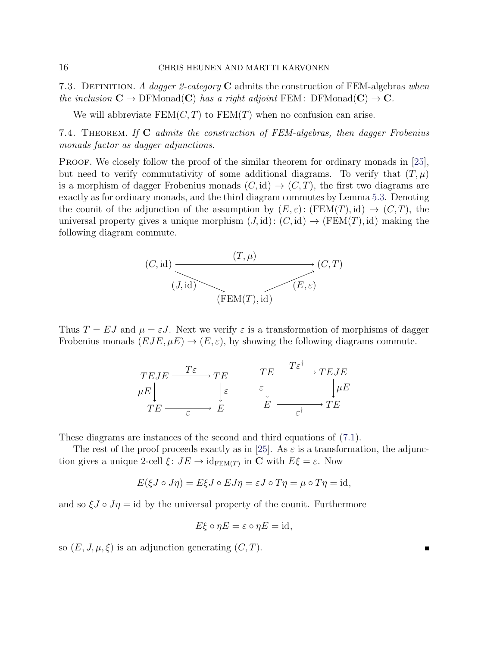7.3. DEFINITION. A dagger 2-category C admits the construction of FEM-algebras when the inclusion  $C \to \mathrm{DFMonad}(C)$  has a right adjoint FEM: DFMonad $(C) \to C$ .

We will abbreviate  $FEM(C, T)$  to  $FEM(T)$  when no confusion can arise.

7.4. THEOREM. If  $C$  admits the construction of FEM-algebras, then dagger Frobenius monads factor as dagger adjunctions.

PROOF. We closely follow the proof of the similar theorem for ordinary monads in [\[25\]](#page-25-12), but need to verify commutativity of some additional diagrams. To verify that  $(T, \mu)$ is a morphism of dagger Frobenius monads  $(C, id) \rightarrow (C, T)$ , the first two diagrams are exactly as for ordinary monads, and the third diagram commutes by Lemma [5.3.](#page-8-3) Denoting the counit of the adjunction of the assumption by  $(E, \varepsilon)$ :  $(FEM(T), id) \rightarrow (C, T)$ , the universal property gives a unique morphism  $(J, id) : (C, id) \rightarrow (FEM(T), id)$  making the following diagram commute.



Thus  $T = EJ$  and  $\mu = \varepsilon J$ . Next we verify  $\varepsilon$  is a transformation of morphisms of dagger Frobenius monads  $(EJE, \mu E) \rightarrow (E, \varepsilon)$ , by showing the following diagrams commute.

$$
\begin{array}{ccc}\nTEJE & \xrightarrow{T\varepsilon} & TE & \xrightarrow{TE} & TEJE \\
\mu E \Big| & \Big| \varepsilon & \varepsilon \Big| & \Big| \mu E \\
TE \xrightarrow{\varepsilon} & E & \xrightarrow{\varepsilon} & TE\n\end{array}
$$

These diagrams are instances of the second and third equations of [\(7.1\)](#page-14-0).

The rest of the proof proceeds exactly as in [\[25\]](#page-25-12). As  $\varepsilon$  is a transformation, the adjunction gives a unique 2-cell  $\xi: JE \to id_{\text{FEM}(T)}$  in C with  $E\xi = \varepsilon$ . Now

$$
E(\xi J \circ J\eta) = E\xi J \circ EJ\eta = \varepsilon J \circ T\eta = \mu \circ T\eta = \mathrm{id},
$$

and so  $\xi J \circ J\eta = id$  by the universal property of the counit. Furthermore

$$
E\xi \circ \eta E = \varepsilon \circ \eta E = \mathrm{id},
$$

so  $(E, J, \mu, \xi)$  is an adjunction generating  $(C, T)$ .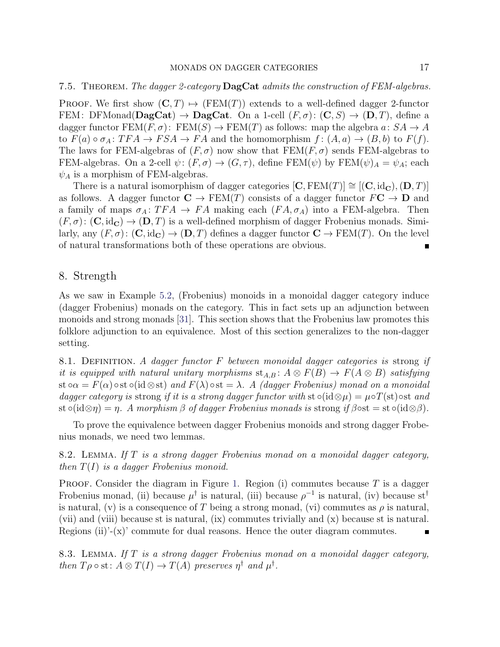#### 7.5. THEOREM. The dagger 2-category DagCat admits the construction of FEM-algebras.

PROOF. We first show  $(C, T) \rightarrow (FEM(T))$  extends to a well-defined dagger 2-functor FEM: DFMonad( $\mathbf{DagCat}$ )  $\rightarrow \mathbf{DagCat}$ . On a 1-cell  $(F, \sigma)$ :  $(\mathbf{C}, S) \rightarrow (\mathbf{D}, T)$ , define a dagger functor  $FEM(F, \sigma)$ :  $FEM(S) \to FEM(T)$  as follows: map the algebra  $a: SA \to A$ to  $F(a) \circ \sigma_A : TFA \to FSA \to FA$  and the homomorphism  $f : (A, a) \to (B, b)$  to  $F(f)$ . The laws for FEM-algebras of  $(F, \sigma)$  now show that  $FEM(F, \sigma)$  sends FEM-algebras to FEM-algebras. On a 2-cell  $\psi: (F, \sigma) \to (G, \tau)$ , define FEM $(\psi)$  by FEM $(\psi)_A = \psi_A$ ; each  $\psi_A$  is a morphism of FEM-algebras.

There is a natural isomorphism of dagger categories  $[C, FEM(T)] \cong [(C, id_{\mathbf{C}}), (\mathbf{D}, T)]$ as follows. A dagger functor  $\mathbf{C} \to \text{FEM}(T)$  consists of a dagger functor  $F\mathbf{C} \to \mathbf{D}$  and a family of maps  $\sigma_A: TFA \to FA$  making each  $(FA, \sigma_A)$  into a FEM-algebra. Then  $(F, \sigma)$ :  $(C, \mathrm{id}_{\mathbf{C}}) \to (\mathbf{D}, T)$  is a well-defined morphism of dagger Frobenius monads. Similarly, any  $(F, \sigma)$ :  $(C, id_{\mathbb{C}}) \to (D, T)$  defines a dagger functor  $C \to \text{FEM}(T)$ . On the level of natural transformations both of these operations are obvious.

#### <span id="page-16-0"></span>8. Strength

As we saw in Example [5.2,](#page-8-1) (Frobenius) monoids in a monoidal dagger category induce (dagger Frobenius) monads on the category. This in fact sets up an adjunction between monoids and strong monads [\[31\]](#page-26-1). This section shows that the Frobenius law promotes this folklore adjunction to an equivalence. Most of this section generalizes to the non-dagger setting.

8.1. DEFINITION. A dagger functor  $F$  between monoidal dagger categories is strong if it is equipped with natural unitary morphisms  $st_{A,B}$ :  $A \otimes F(B) \rightarrow F(A \otimes B)$  satisfying st  $\alpha = F(\alpha) \circ st \circ (id \otimes st)$  and  $F(\lambda) \circ st = \lambda$ . A (dagger Frobenius) monad on a monoidal dagger category is strong if it is a strong dagger functor with  $st \circ (id \otimes \mu) = \mu \circ T(st) \circ st$  and st ∘(id⊗ $\eta$ ) =  $\eta$ . A morphism  $\beta$  of dagger Frobenius monads is strong if  $\beta$ ∘st = st ∘(id⊗ $\beta$ ).

To prove the equivalence between dagger Frobenius monoids and strong dagger Frobenius monads, we need two lemmas.

<span id="page-16-1"></span>8.2. LEMMA. If T is a strong dagger Frobenius monad on a monoidal dagger category, then  $T(I)$  is a dagger Frobenius monoid.

**PROOF.** Consider the diagram in Figure [1.](#page-17-0) Region (i) commutes because  $T$  is a dagger Frobenius monad, (ii) because  $\mu^{\dagger}$  is natural, (iii) because  $\rho^{-1}$  is natural, (iv) because st<sup>†</sup> is natural, (v) is a consequence of T being a strong monad, (vi) commutes as  $\rho$  is natural, (vii) and (viii) because st is natural, (ix) commutes trivially and (x) because st is natural. Regions  $(ii)'_{-}(x)$ ' commute for dual reasons. Hence the outer diagram commutes.  $\blacksquare$ 

<span id="page-16-2"></span>8.3. LEMMA. If T is a strong dagger Frobenius monad on a monoidal dagger category, then  $T\rho \circ st \colon A \otimes T(I) \to T(A)$  preserves  $\eta^{\dagger}$  and  $\mu^{\dagger}$ .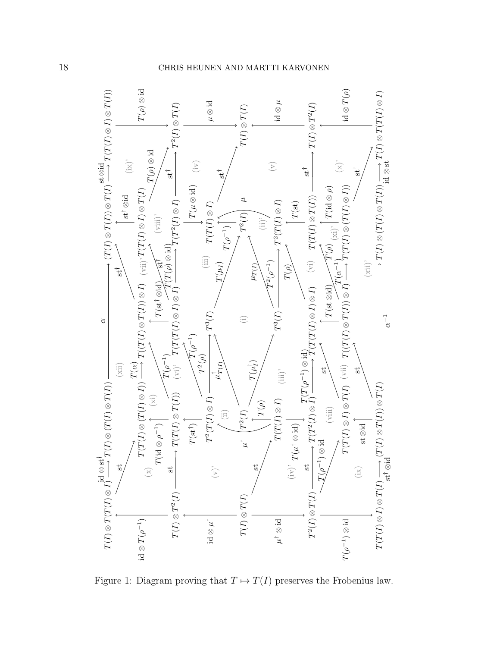

<span id="page-17-0"></span>Figure 1: Diagram proving that  $T \mapsto T(I)$  preserves the Frobenius law.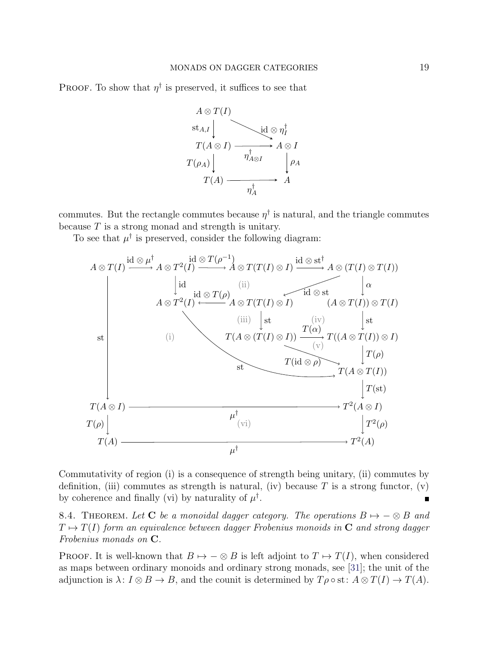**PROOF.** To show that  $\eta^{\dagger}$  is preserved, it suffices to see that



commutes. But the rectangle commutes because  $\eta^{\dagger}$  is natural, and the triangle commutes because  $T$  is a strong monad and strength is unitary.

To see that  $\mu^{\dagger}$  is preserved, consider the following diagram:



Commutativity of region (i) is a consequence of strength being unitary, (ii) commutes by definition, (iii) commutes as strength is natural, (iv) because T is a strong functor, (v) by coherence and finally (vi) by naturality of  $\mu^{\dagger}$ .  $\blacksquare$ 

<span id="page-18-0"></span>8.4. THEOREM. Let C be a monoidal dagger category. The operations  $B \mapsto -\otimes B$  and  $T \mapsto T(I)$  form an equivalence between dagger Frobenius monoids in C and strong dagger Frobenius monads on C.

**PROOF.** It is well-known that  $B \mapsto -\otimes B$  is left adjoint to  $T \mapsto T(I)$ , when considered as maps between ordinary monoids and ordinary strong monads, see [\[31\]](#page-26-1); the unit of the adjunction is  $\lambda: I \otimes B \to B$ , and the counit is determined by  $T \rho \circ st: A \otimes T(I) \to T(A)$ .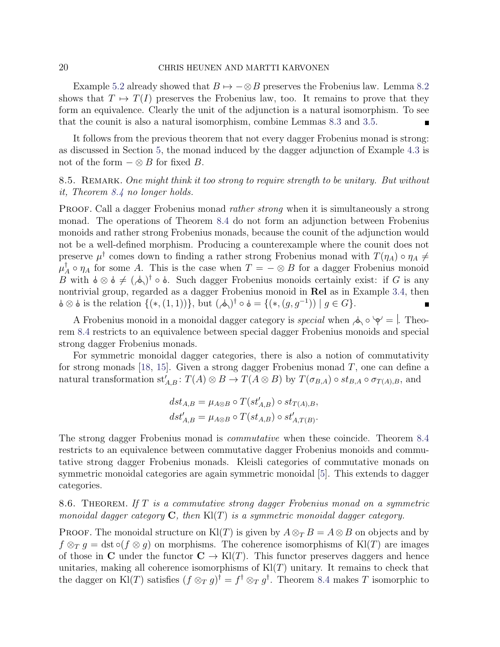#### 20 CHRIS HEUNEN AND MARTTI KARVONEN

Example [5.2](#page-8-1) already showed that  $B \mapsto -\otimes B$  preserves the Frobenius law. Lemma [8.2](#page-16-1) shows that  $T \mapsto T(I)$  preserves the Frobenius law, too. It remains to prove that they form an equivalence. Clearly the unit of the adjunction is a natural isomorphism. To see that the counit is also a natural isomorphism, combine Lemmas [8.3](#page-16-2) and [3.5.](#page-5-1)  $\blacksquare$ 

It follows from the previous theorem that not every dagger Frobenius monad is strong: as discussed in Section [5,](#page-8-0) the monad induced by the dagger adjunction of Example [4.3](#page-6-1) is not of the form  $-\otimes B$  for fixed B.

# 8.5. REMARK. One might think it too strong to require strength to be unitary. But without it, Theorem [8.4](#page-18-0) no longer holds.

PROOF. Call a dagger Frobenius monad *rather strong* when it is simultaneously a strong monad. The operations of Theorem [8.4](#page-18-0) do not form an adjunction between Frobenius monoids and rather strong Frobenius monads, because the counit of the adjunction would not be a well-defined morphism. Producing a counterexample where the counit does not preserve  $\mu^{\dagger}$  comes down to finding a rather strong Frobenius monad with  $T(\eta_A) \circ \eta_A \neq 0$  $\mu^\dagger_{\scriptscriptstyle\mathcal{A}}$  $_A^{\mathsf{T}} \circ \eta_A$  for some A. This is the case when  $T = -\otimes B$  for a dagger Frobenius monoid B with  $\phi \otimes \phi \neq (\phi)$ <sup>†</sup> ∘  $\phi$ . Such dagger Frobenius monoids certainly exist: if G is any nontrivial group, regarded as a dagger Frobenius monoid in Rel as in Example [3.4,](#page-4-1) then  $\otimes$   $\phi$  is the relation  $\{(*, (1, 1))\}$ , but  $(\phi)$ <sup>†</sup>  $\circ$   $\phi = \{(*, (g, g^{-1})) \mid g \in G\}$ .

A Frobenius monoid in a monoidal dagger category is *special* when  $\Diamond \circ \Diamond =$ . Theorem [8.4](#page-18-0) restricts to an equivalence between special dagger Frobenius monoids and special strong dagger Frobenius monads.

For symmetric monoidal dagger categories, there is also a notion of commutativity for strong monads [\[18,](#page-25-13) [15\]](#page-25-14). Given a strong dagger Frobenius monad  $T$ , one can define a natural transformation  $st'_{A,B}$ :  $T(A) \otimes B \to T(A \otimes B)$  by  $T(\sigma_{B,A}) \circ st_{B,A} \circ \sigma_{T(A),B}$ , and

$$
dst_{A,B} = \mu_{A \otimes B} \circ T(st'_{A,B}) \circ st_{T(A),B},
$$
  

$$
dst'_{A,B} = \mu_{A \otimes B} \circ T(st_{A,B}) \circ st'_{A,T(B)}.
$$

The strong dagger Frobenius monad is commutative when these coincide. Theorem [8.4](#page-18-0) restricts to an equivalence between commutative dagger Frobenius monoids and commutative strong dagger Frobenius monads. Kleisli categories of commutative monads on symmetric monoidal categories are again symmetric monoidal [\[5\]](#page-24-13). This extends to dagger categories.

8.6. THEOREM. If T is a commutative strong dagger Frobenius monad on a symmetric monoidal dagger category  $C$ , then  $Kl(T)$  is a symmetric monoidal dagger category.

**PROOF.** The monoidal structure on Kl(T) is given by  $A \otimes_T B = A \otimes B$  on objects and by  $f \otimes_T g = \text{dst} \circ (f \otimes q)$  on morphisms. The coherence isomorphisms of Kl(T) are images of those in C under the functor  $C \to Kl(T)$ . This functor preserves daggers and hence unitaries, making all coherence isomorphisms of  $Kl(T)$  unitary. It remains to check that the dagger on Kl(T) satisfies  $(f \otimes_T g)^\dagger = f^\dagger \otimes_T g^\dagger$ . Theorem [8.4](#page-18-0) makes T isomorphic to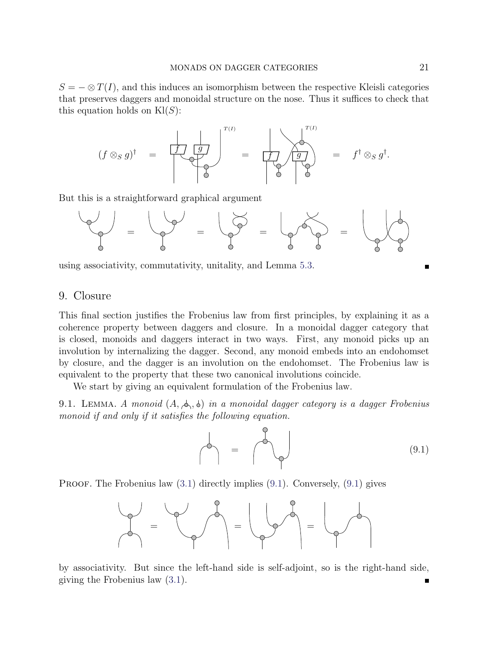$S = -\otimes T(I)$ , and this induces an isomorphism between the respective Kleisli categories that preserves daggers and monoidal structure on the nose. Thus it suffices to check that this equation holds on  $\text{Kl}(S)$ :

(f ⊗<sup>S</sup> g) † = f g T (I) = f g T (I) = f † ⊗<sup>S</sup> g † .

But this is a straightforward graphical argument



using associativity, commutativity, unitality, and Lemma [5.3.](#page-8-3)

### <span id="page-20-0"></span>9. Closure

This final section justifies the Frobenius law from first principles, by explaining it as a coherence property between daggers and closure. In a monoidal dagger category that is closed, monoids and daggers interact in two ways. First, any monoid picks up an involution by internalizing the dagger. Second, any monoid embeds into an endohomset by closure, and the dagger is an involution on the endohomset. The Frobenius law is equivalent to the property that these two canonical involutions coincide.

We start by giving an equivalent formulation of the Frobenius law.

<span id="page-20-2"></span>9.1. LEMMA. A monoid  $(A, \phi, \phi)$  in a monoidal dagger category is a dagger Frobenius monoid if and only if it satisfies the following equation.

<span id="page-20-1"></span>
$$
\left\langle \uparrow \right\rangle = \left\langle \uparrow \right\rangle \qquad (9.1)
$$

**PROOF.** The Frobenius law  $(3.1)$  directly implies  $(9.1)$ . Conversely,  $(9.1)$  gives



by associativity. But since the left-hand side is self-adjoint, so is the right-hand side, giving the Frobenius law [\(3.1\)](#page-4-0).

Г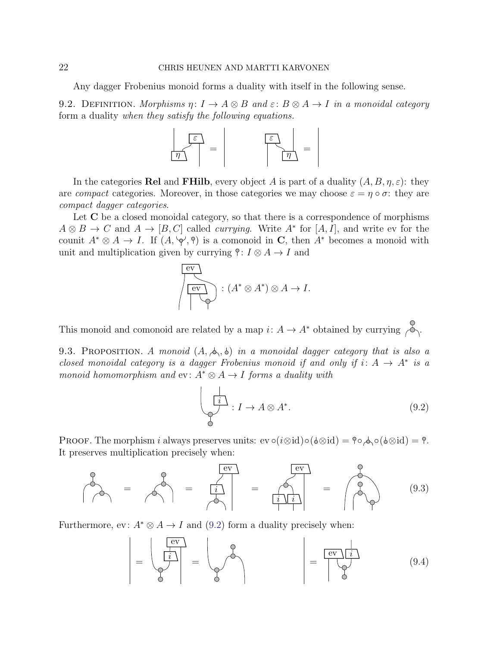#### 22 CHRIS HEUNEN AND MARTTI KARVONEN

Any dagger Frobenius monoid forms a duality with itself in the following sense.

9.2. DEFINITION. Morphisms  $\eta: I \to A \otimes B$  and  $\varepsilon: B \otimes A \to I$  in a monoidal category form a duality when they satisfy the following equations.



In the categories Rel and FHilb, every object A is part of a duality  $(A, B, \eta, \varepsilon)$ : they are *compact* categories. Moreover, in those categories we may choose  $\varepsilon = \eta \circ \sigma$ : they are compact dagger categories.

Let  $C$  be a closed monoidal category, so that there is a correspondence of morphisms  $A \otimes B \to C$  and  $A \to [B, C]$  called *currying*. Write  $A^*$  for  $[A, I]$ , and write ev for the counit  $A^* \otimes A \to I$ . If  $(A, \varphi', \hat{\theta})$  is a comonoid in C, then  $A^*$  becomes a monoid with unit and multiplication given by currying  $\hat{\mathcal{C}}: I \otimes A \rightarrow I$  and

$$
\overbrace{\left(\begin{array}{c}\n\text{ev} \\
\text{ev}\n\end{array}\right)}^{\text{ev}} : (A^* \otimes A^*) \otimes A \to I.
$$

This monoid and comonoid are related by a map  $i: A \to A^*$  obtained by currying  $\sim \sim$ .

<span id="page-21-3"></span>9.3. PROPOSITION. A monoid  $(A, \phi, \phi)$  in a monoidal dagger category that is also a closed monoidal category is a dagger Frobenius monoid if and only if  $i: A \rightarrow A^*$  is a monoid homomorphism and ev:  $A^* \otimes A \rightarrow I$  forms a duality with

<span id="page-21-2"></span><span id="page-21-1"></span><span id="page-21-0"></span>
$$
\begin{array}{c}\n\downarrow \\
\downarrow \\
\heartsuit\n\end{array} : I \to A \otimes A^*.\n\tag{9.2}
$$

PROOF. The morphism i always preserves units: ev  $\circ(i\otimes id)\circ(\phi\otimes id) = \phi \circ \phi(\phi\otimes id) = \phi$ . It preserves multiplication precisely when:

= = i ev = i i ev = (9.3)

Furthermore, ev:  $A^* \otimes A \rightarrow I$  and [\(9.2\)](#page-21-0) form a duality precisely when:

$$
\left| \begin{array}{c} \begin{pmatrix} \text{ev} \\ \hline i \end{pmatrix} \\ \text{O} \end{array} \right| = \left| \begin{array}{c} \begin{pmatrix} \text{ev} \\ \text{ev} \end{pmatrix} \\ \text{O} \end{array} \right| = \left| \begin{array}{c} \begin{pmatrix} \text{ev} \\ \text{ev} \end{pmatrix} \\ \text{O} \end{array} \right| \tag{9.4}
$$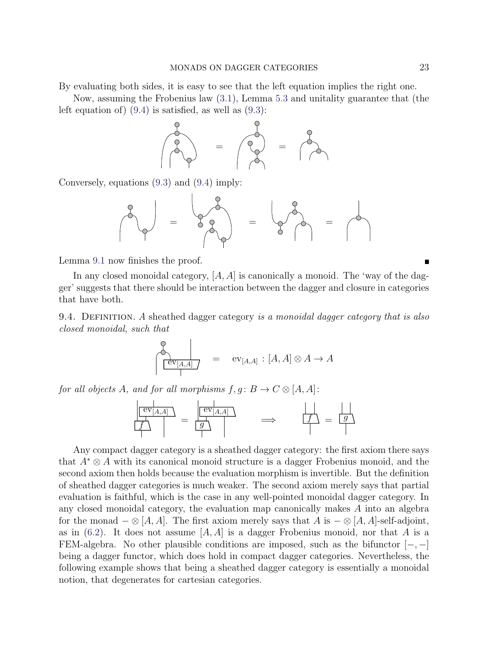By evaluating both sides, it is easy to see that the left equation implies the right one.

Now, assuming the Frobenius law [\(3.1\)](#page-4-0), Lemma [5.3](#page-8-3) and unitality guarantee that (the left equation of)  $(9.4)$  is satisfied, as well as  $(9.3)$ :



Conversely, equations [\(9.3\)](#page-21-2) and [\(9.4\)](#page-21-1) imply:

$$
\frac{1}{2}
$$
 =  $\frac{1}{2}$  =  $\frac{1}{2}$  =  $\frac{1}{2}$  =  $\frac{1}{2}$ 

Lemma [9.1](#page-20-2) now finishes the proof.

In any closed monoidal category,  $[A, A]$  is canonically a monoid. The 'way of the dagger' suggests that there should be interaction between the dagger and closure in categories that have both.

9.4. DEFINITION. A sheathed dagger category is a monoidal dagger category that is also closed monoidal, such that

$$
\begin{array}{c}\n\begin{array}{c}\n\downarrow \\
\hline\n\end{array} \\
\begin{array}{c}\n\hline\n\end{array} \\
\begin{array}{c}\n\hline\n\end{array} \\
\begin{array}{c}\n\hline\n\end{array} \\
\begin{array}{c}\n\hline\n\end{array} \\
\begin{array}{c}\n\hline\n\end{array} \\
\begin{array}{c}\n\hline\n\end{array} \\
\begin{array}{c}\n\hline\n\end{array} \\
\begin{array}{c}\n\hline\n\end{array} \\
\begin{array}{c}\n\hline\n\end{array} \\
\begin{array}{c}\n\hline\n\end{array} \\
\begin{array}{c}\n\hline\n\end{array} \\
\begin{array}{c}\n\hline\n\end{array} \\
\begin{array}{c}\n\hline\n\end{array} \\
\begin{array}{c}\n\hline\n\end{array} \\
\begin{array}{c}\n\hline\n\end{array} \\
\begin{array}{c}\n\hline\n\end{array} \\
\begin{array}{c}\n\hline\n\end{array} \\
\begin{array}{c}\n\hline\n\end{array} \\
\begin{array}{c}\n\hline\n\end{array} \\
\begin{array}{c}\n\hline\n\end{array} \\
\begin{array}{c}\n\hline\n\end{array} \\
\begin{array}{c}\n\hline\n\end{array} \\
\begin{array}{c}\n\hline\n\end{array} \\
\begin{array}{c}\n\hline\n\end{array} \\
\begin{array}{c}\n\hline\n\end{array} \\
\begin{array}{c}\n\hline\n\end{array} \\
\begin{array}{c}\n\hline\n\end{array} \\
\begin{array}{c}\n\hline\n\end{array} \\
\begin{array}{c}\n\hline\n\end{array} \\
\begin{array}{c}\n\hline\n\end{array} \\
\begin{array}{c}\n\hline\n\end{array} \\
\begin{array}{c}\n\hline\n\end{array} \\
\begin{array}{c}\n\hline\n\end{array} \\
\begin{array}{c}\n\hline\n\end{array} \\
\begin{array}{c}\n\hline\n\end{array} \\
\begin{array}{c}\n\hline\n\end{array} \\
\begin{array}{c}\n\hline\n\end{array} \\
\begin{array}{c}\n\hline\n\end{array} \\
\begin{array}{c}\n\hline\n\end{array} \\
\begin{array}{c}\n\hline\n\end{array} \\
\begin{array}{c}\n\h
$$

for all objects A, and for all morphisms  $f, g : B \to C \otimes [A, A]$ :

$$
\begin{array}{c}\n\boxed{\text{ev}_{[A,A]}} \\
\boxed{f} \\
\end{array} = \begin{array}{c}\n\boxed{\text{ev}_{[A,A]}} \\
\boxed{g} \\
\end{array} \qquad \implies \qquad \boxed{f} = \boxed{g}
$$

Any compact dagger category is a sheathed dagger category: the first axiom there says that A<sup>∗</sup> ⊗ A with its canonical monoid structure is a dagger Frobenius monoid, and the second axiom then holds because the evaluation morphism is invertible. But the definition of sheathed dagger categories is much weaker. The second axiom merely says that partial evaluation is faithful, which is the case in any well-pointed monoidal dagger category. In any closed monoidal category, the evaluation map canonically makes A into an algebra for the monad  $-\otimes [A, A]$ . The first axiom merely says that A is  $-\otimes [A, A]$ -self-adjoint, as in  $(6.2)$ . It does not assume  $\vert A, A \vert$  is a dagger Frobenius monoid, nor that A is a FEM-algebra. No other plausible conditions are imposed, such as the bifunctor  $[-,-]$ being a dagger functor, which does hold in compact dagger categories. Nevertheless, the following example shows that being a sheathed dagger category is essentially a monoidal notion, that degenerates for cartesian categories.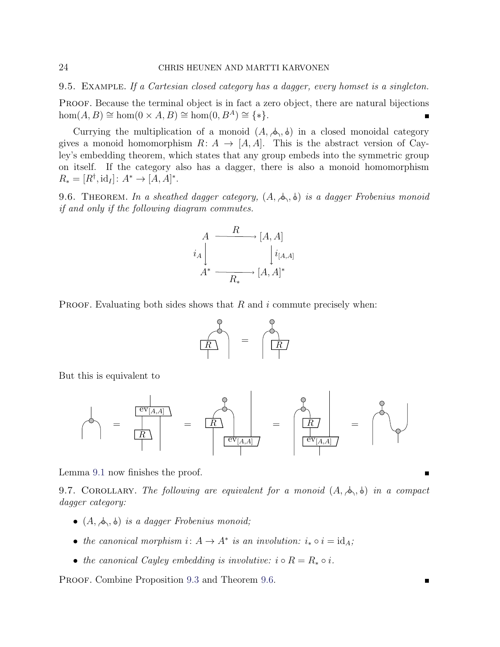9.5. EXAMPLE. If a Cartesian closed category has a dagger, every homset is a singleton.

PROOF. Because the terminal object is in fact a zero object, there are natural bijections  $hom(A, B) \cong hom(0 \times A, B) \cong hom(0, B<sup>A</sup>) \cong {*}.$ 

Currying the multiplication of a monoid  $(A, \phi, \phi)$  in a closed monoidal category gives a monoid homomorphism  $R: A \to [A, A]$ . This is the abstract version of Cayley's embedding theorem, which states that any group embeds into the symmetric group on itself. If the category also has a dagger, there is also a monoid homomorphism  $R_* = [R^{\dagger}, \text{id}_I] : A^* \to [A, A]^*.$ 

<span id="page-23-0"></span>9.6. THEOREM. In a sheathed dagger category,  $(A, \phi, \phi)$  is a dagger Frobenius monoid if and only if the following diagram commutes.

$$
A \xrightarrow{\qquad R} [A, A]
$$
  

$$
i_A \downarrow \qquad \qquad [i_{[A,A]}
$$
  

$$
A^* \xrightarrow{\qquad R_*} [A, A]^*
$$

PROOF. Evaluating both sides shows that  $R$  and  $i$  commute precisely when:



But this is equivalent to



Lemma [9.1](#page-20-1) now finishes the proof.

9.7. COROLLARY. The following are equivalent for a monoid  $(A, \phi, \phi)$  in a compact dagger category:

- $(A, \phi, \phi)$  is a dagger Frobenius monoid;
- the canonical morphism  $i: A \to A^*$  is an involution:  $i_* \circ i = id_A$ ;
- the canonical Cayley embedding is involutive:  $i \circ R = R_* \circ i$ .

PROOF. Combine Proposition [9.3](#page-21-3) and Theorem [9.6.](#page-23-0)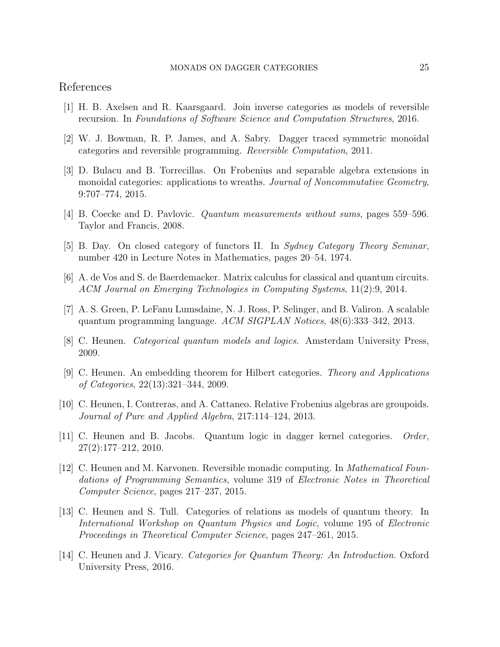# References

- <span id="page-24-3"></span>[1] H. B. Axelsen and R. Kaarsgaard. Join inverse categories as models of reversible recursion. In Foundations of Software Science and Computation Structures, 2016.
- <span id="page-24-2"></span>[2] W. J. Bowman, R. P. James, and A. Sabry. Dagger traced symmetric monoidal categories and reversible programming. Reversible Computation, 2011.
- <span id="page-24-6"></span>[3] D. Bulacu and B. Torrecillas. On Frobenius and separable algebra extensions in monoidal categories: applications to wreaths. Journal of Noncommutative Geometry, 9:707–774, 2015.
- <span id="page-24-12"></span>[4] B. Coecke and D. Pavlovic. Quantum measurements without sums, pages 559–596. Taylor and Francis, 2008.
- <span id="page-24-13"></span>[5] B. Day. On closed category of functors II. In Sydney Category Theory Seminar, number 420 in Lecture Notes in Mathematics, pages 20–54, 1974.
- <span id="page-24-8"></span>[6] A. de Vos and S. de Baerdemacker. Matrix calculus for classical and quantum circuits. ACM Journal on Emerging Technologies in Computing Systems, 11(2):9, 2014.
- <span id="page-24-7"></span>[7] A. S. Green, P. LeFanu Lumsdaine, N. J. Ross, P. Selinger, and B. Valiron. A scalable quantum programming language. ACM SIGPLAN Notices, 48(6):333–342, 2013.
- <span id="page-24-9"></span>[8] C. Heunen. Categorical quantum models and logics. Amsterdam University Press, 2009.
- <span id="page-24-5"></span>[9] C. Heunen. An embedding theorem for Hilbert categories. Theory and Applications of Categories, 22(13):321–344, 2009.
- <span id="page-24-10"></span>[10] C. Heunen, I. Contreras, and A. Cattaneo. Relative Frobenius algebras are groupoids. Journal of Pure and Applied Algebra, 217:114–124, 2013.
- <span id="page-24-4"></span>[11] C. Heunen and B. Jacobs. Quantum logic in dagger kernel categories. Order, 27(2):177–212, 2010.
- <span id="page-24-1"></span>[12] C. Heunen and M. Karvonen. Reversible monadic computing. In Mathematical Foundations of Programming Semantics, volume 319 of Electronic Notes in Theoretical Computer Science, pages 217–237, 2015.
- <span id="page-24-11"></span>[13] C. Heunen and S. Tull. Categories of relations as models of quantum theory. In International Workshop on Quantum Physics and Logic, volume 195 of Electronic Proceedings in Theoretical Computer Science, pages 247–261, 2015.
- <span id="page-24-0"></span>[14] C. Heunen and J. Vicary. Categories for Quantum Theory: An Introduction. Oxford University Press, 2016.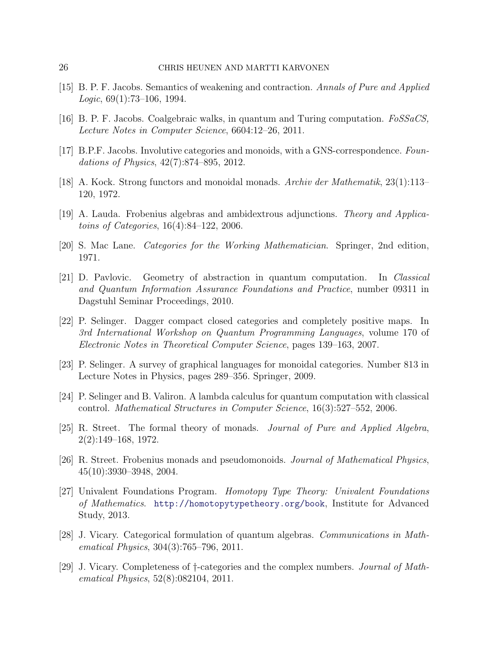- <span id="page-25-14"></span>[15] B. P. F. Jacobs. Semantics of weakening and contraction. Annals of Pure and Applied Logic,  $69(1)$ :73-106, 1994.
- <span id="page-25-6"></span>[16] B. P. F. Jacobs. Coalgebraic walks, in quantum and Turing computation. FoSSaCS, Lecture Notes in Computer Science, 6604:12–26, 2011.
- <span id="page-25-5"></span>[17] B.P.F. Jacobs. Involutive categories and monoids, with a GNS-correspondence. Foundations of Physics, 42(7):874–895, 2012.
- <span id="page-25-13"></span>[18] A. Kock. Strong functors and monoidal monads. Archiv der Mathematik,  $23(1):113-$ 120, 1972.
- <span id="page-25-4"></span>[19] A. Lauda. Frobenius algebras and ambidextrous adjunctions. Theory and Applicatoins of Categories, 16(4):84–122, 2006.
- <span id="page-25-11"></span>[20] S. Mac Lane. Categories for the Working Mathematician. Springer, 2nd edition, 1971.
- <span id="page-25-8"></span>[21] D. Pavlovic. Geometry of abstraction in quantum computation. In Classical and Quantum Information Assurance Foundations and Practice, number 09311 in Dagstuhl Seminar Proceedings, 2010.
- <span id="page-25-0"></span>[22] P. Selinger. Dagger compact closed categories and completely positive maps. In 3rd International Workshop on Quantum Programming Languages, volume 170 of Electronic Notes in Theoretical Computer Science, pages 139–163, 2007.
- <span id="page-25-9"></span>[23] P. Selinger. A survey of graphical languages for monoidal categories. Number 813 in Lecture Notes in Physics, pages 289–356. Springer, 2009.
- <span id="page-25-7"></span>[24] P. Selinger and B. Valiron. A lambda calculus for quantum computation with classical control. Mathematical Structures in Computer Science, 16(3):527–552, 2006.
- <span id="page-25-12"></span>[25] R. Street. The formal theory of monads. Journal of Pure and Applied Algebra, 2(2):149–168, 1972.
- <span id="page-25-3"></span>[26] R. Street. Frobenius monads and pseudomonoids. Journal of Mathematical Physics, 45(10):3930–3948, 2004.
- <span id="page-25-2"></span>[27] Univalent Foundations Program. Homotopy Type Theory: Univalent Foundations of Mathematics. <http://homotopytypetheory.org/book>, Institute for Advanced Study, 2013.
- <span id="page-25-10"></span>[28] J. Vicary. Categorical formulation of quantum algebras. Communications in Mathematical Physics, 304(3):765–796, 2011.
- <span id="page-25-1"></span>[29] J. Vicary. Completeness of †-categories and the complex numbers. Journal of Mathematical Physics, 52(8):082104, 2011.